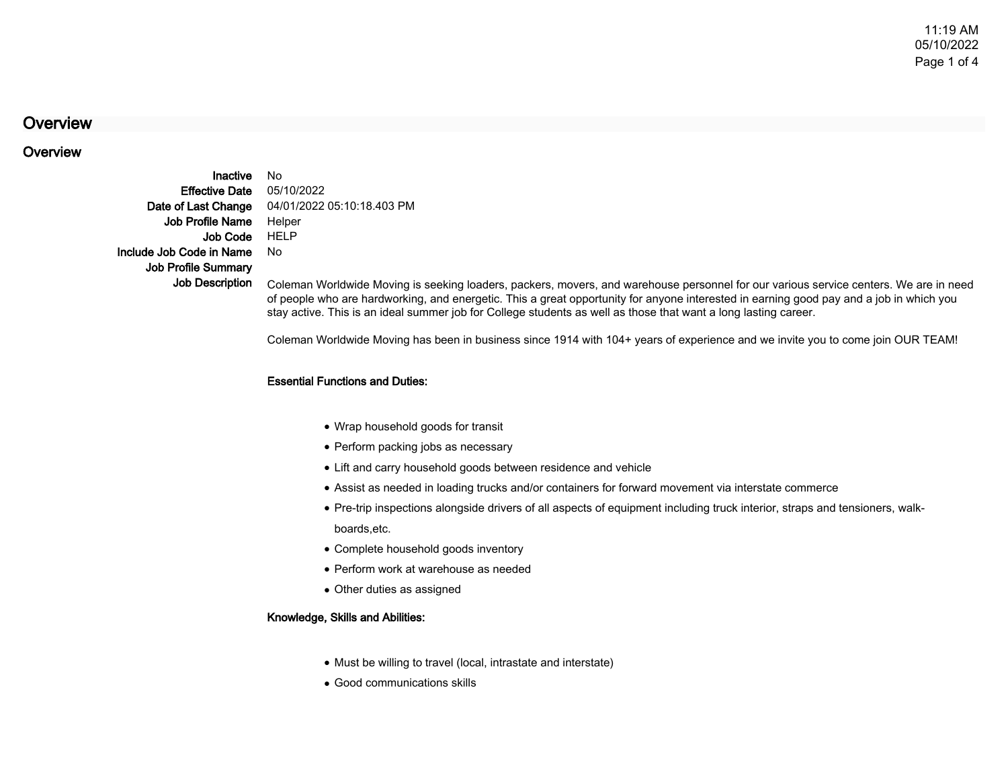# **Overview**

# **Overview**

InactiveEffective DateDate of Last ChangeJob Profile NameJob CodeInclude Job Code in NameJob Profile SummaryJob Description

 No 05/10/2022 04/01/2022 05:10:18.403 PM Helper HELPNo

 Coleman Worldwide Moving is seeking loaders, packers, movers, and warehouse personnel for our various service centers. We are in needof people who are hardworking, and energetic. This a great opportunity for anyone interested in earning good pay and a job in which youstay active. This is an ideal summer job for College students as well as those that want a long lasting career.

Coleman Worldwide Moving has been in business since 1914 with 104+ years of experience and we invite you to come join OUR TEAM!

### Essential Functions and Duties:

- Wrap household goods for transit
- Perform packing jobs as necessary
- Lift and carry household goods between residence and vehicle
- Assist as needed in loading trucks and/or containers for forward movement via interstate commerce
- Pre-trip inspections alongside drivers of all aspects of equipment including truck interior, straps and tensioners, walk-● Pre-trip ins<br>.boards,etc
- Complete household goods inventory
- Perform work at warehouse as needed
- Other duties as assigned

### Knowledge, Skills and Abilities:

- Must be willing to travel (local, intrastate and interstate)
- Good communications skills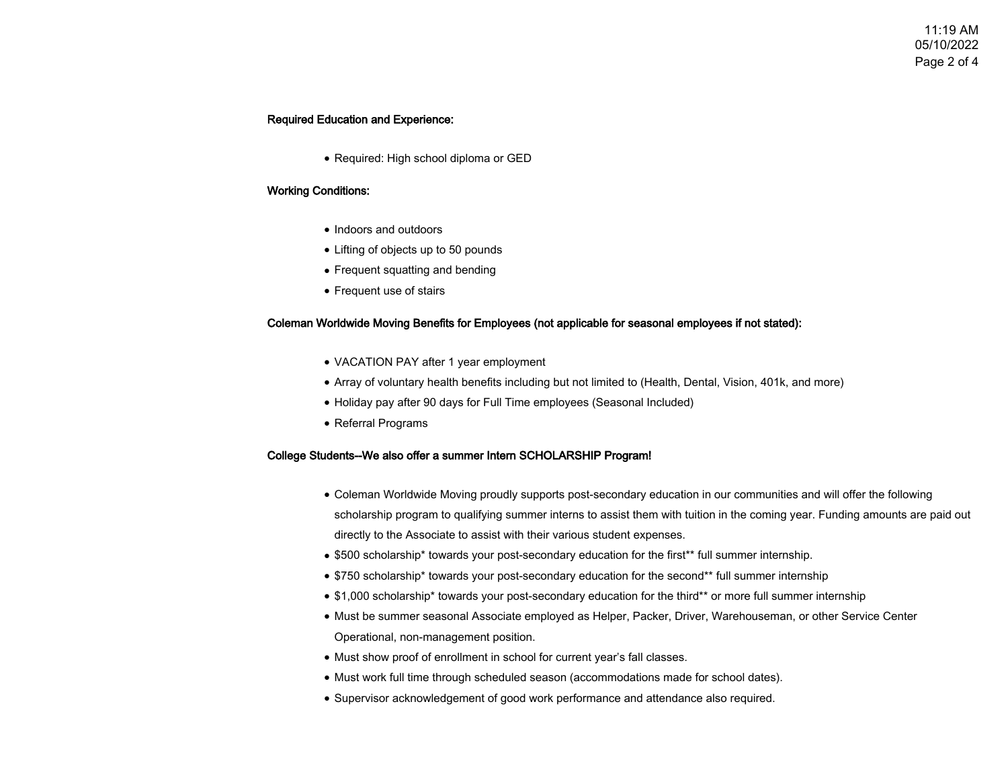# Required Education and Experience:

● Required: High school diploma or GED

## Working Conditions:

- Indoors and outdoors
- Lifting of objects up to 50 pounds
- Frequent squatting and bending
- Frequent use of stairs

### Coleman Worldwide Moving Benefits for Employees (not applicable for seasonal employees if not stated):

- VACATION PAY after 1 year employment
- Array of voluntary health benefits including but not limited to (Health, Dental, Vision, 401k, and more)
- Holiday pay after 90 days for Full Time employees (Seasonal Included)
- Referral Programs

### College Students--We also offer a summer Intern SCHOLARSHIP Program!

- Coleman Worldwide Moving proudly supports post-secondary education in our communities and will offer the following scholarship program to qualifying summer interns to assist them with tuition in the coming year. Funding amounts are paid outdirectly to the Associate to assist with their various student expenses.
- \$500 scholarship\* towards your post-secondary education for the first\*\* full summer internship.
- \$750 scholarship\* towards your post-secondary education for the second\*\* full summer internship
- \$1,000 scholarship\* towards your post-secondary education for the third\*\* or more full summer internship
- Must be summer seasonal Associate employed as Helper, Packer, Driver, Warehouseman, or other Service Center Operational, non-management position.
- Must show proof of enrollment in school for current year's fall classes.
- Must work full time through scheduled season (accommodations made for school dates).
- Supervisor acknowledgement of good work performance and attendance also required.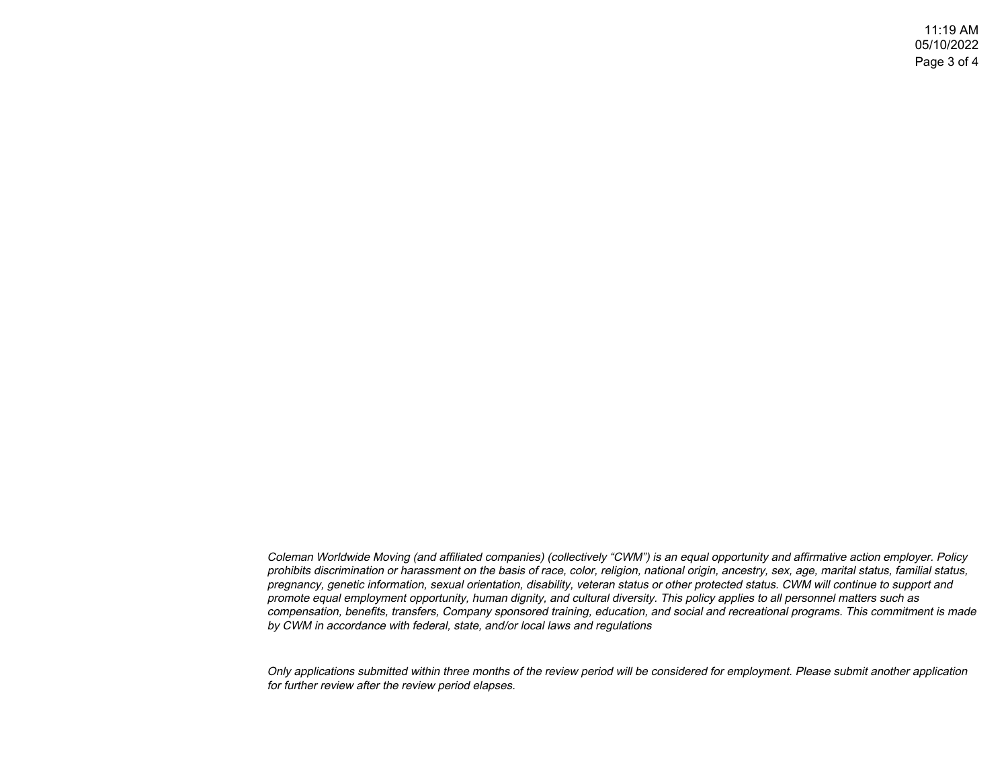11:19 AM 05/10/2022Page 3 of 4

Coleman Worldwide Moving (and affiliated companies) (collectively "CWM") is an equal opportunity and affirmative action employer. Policy prohibits discrimination or harassment on the basis of race, color, religion, national origin, ancestry, sex, age, marital status, familial status,pregnancy, genetic information, sexual orientation, disability, veteran status or other protected status. CWM will continue to support andpromote equal employment opportunity, human dignity, and cultural diversity. This policy applies to all personnel matters such as compensation, benefits, transfers, Company sponsored training, education, and social and recreational programs. This commitment is madeby CWM in accordance with federal, state, and/or local laws and regulations

Only applications submitted within three months of the review period will be considered for employment. Please submit another applicationfor further review after the review period elapses.